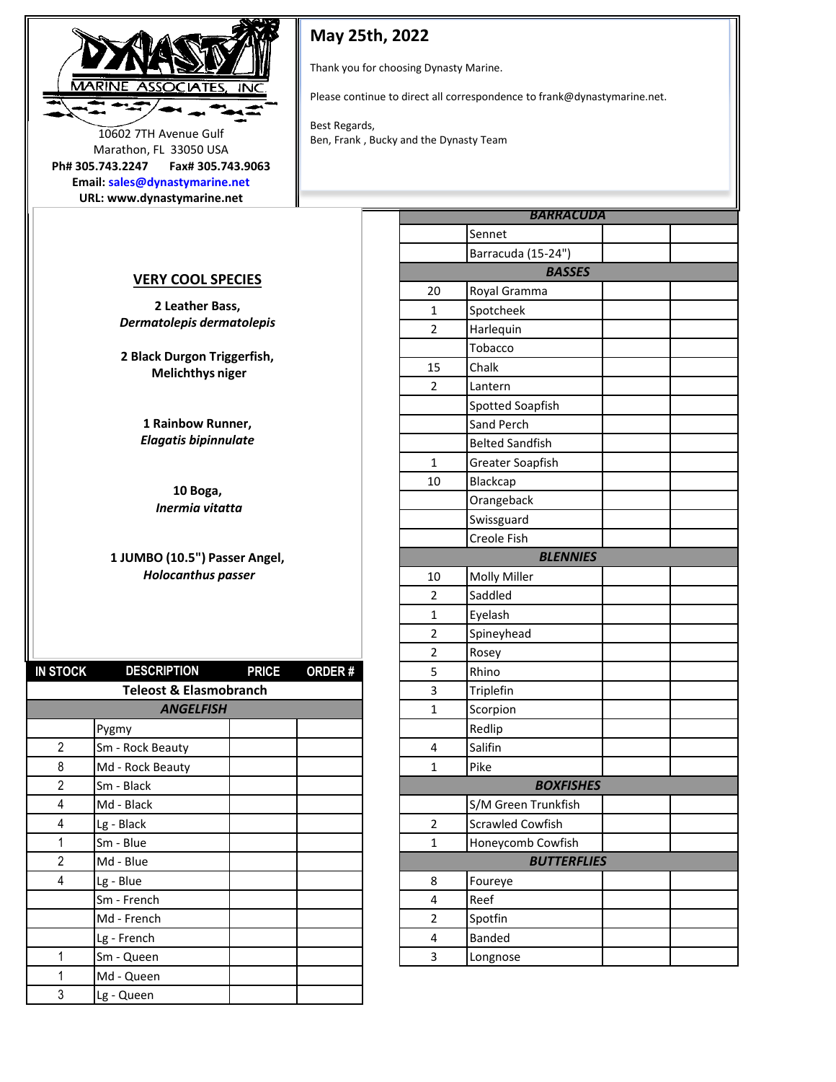

**May 25th, 2022**

Thank you for choosing Dynasty Marine.

Please continue to direct all correspondence to frank@dynastymarine.net.

Best Regards, 10602 7TH Avenue Gulf<br>Ben, Frank , Bucky and the Dynasty Team

Marathon, FL 33050 USA **Ph# 305.743.2247 Fax# 305.743.9063**

**Email: sales@dynastymarine.net URL: www.dynastymarine.net**

## **VERY COOL SPECIES**

**2 Leather Bass,**  *Dermatolepis dermatolepis* 

**2 Black Durgon Triggerfish, Melichthys niger** 

> **1 Rainbow Runner,**  *Elagatis bipinnulate*

**10 Boga,** *Inermia vitatta* 

## **1 JUMBO (10.5") Passer Angel,** *Holocanthus passer*

| <b>IN STOCK</b> | <b>DESCRIPTION</b>                | <b>PRICE</b> | <b>ORDER#</b> | 5              | Rhino                   |
|-----------------|-----------------------------------|--------------|---------------|----------------|-------------------------|
|                 | <b>Teleost &amp; Elasmobranch</b> |              |               | 3              | Triplefin               |
|                 | <b>ANGELFISH</b>                  |              |               | 1              | Scorpion                |
|                 | Pygmy                             |              |               |                | Redlip                  |
| $\overline{2}$  | Sm - Rock Beauty                  |              |               | 4              | Salifin                 |
| 8               | Md - Rock Beauty                  |              |               | 1              | Pike                    |
| 2               | Sm - Black                        |              |               |                | <b>BOXFISHES</b>        |
| 4               | Md - Black                        |              |               |                | S/M Green Trunkfish     |
| 4               | Lg - Black                        |              |               | $\overline{2}$ | <b>Scrawled Cowfish</b> |
| 1               | Sm - Blue                         |              |               | $\mathbf{1}$   | Honeycomb Cowfish       |
| $\overline{2}$  | Md - Blue                         |              |               |                | <b>BUTTERFLIES</b>      |
| 4               | Lg - Blue                         |              |               | 8              | Foureye                 |
|                 | Sm - French                       |              |               | 4              | Reef                    |
|                 | Md - French                       |              |               | $\overline{2}$ | Spotfin                 |
|                 | Lg - French                       |              |               | 4              | Banded                  |
| 1               | Sm - Queen                        |              |               | 3              | Longnose                |
| 1               | Md - Queen                        |              |               |                |                         |
| 3               | Lg - Queen                        |              |               |                |                         |

|                         | <b>BARRACUDA</b>       |  |
|-------------------------|------------------------|--|
|                         | Sennet                 |  |
|                         | Barracuda (15-24")     |  |
|                         | <b>BASSES</b>          |  |
| 20                      | Royal Gramma           |  |
| $\mathbf{1}$            | Spotcheek              |  |
| $\overline{c}$          | Harlequin              |  |
|                         | Tobacco                |  |
| 15                      | Chalk                  |  |
| $\overline{2}$          | Lantern                |  |
|                         | Spotted Soapfish       |  |
|                         | Sand Perch             |  |
|                         | <b>Belted Sandfish</b> |  |
| $\mathbf{1}$            | Greater Soapfish       |  |
| 10                      | Blackcap               |  |
|                         | Orangeback             |  |
|                         | Swissguard             |  |
|                         | Creole Fish            |  |
|                         | <b>BLENNIES</b>        |  |
| 10                      | Molly Miller           |  |
| 2                       | Saddled                |  |
| 1                       | Eyelash                |  |
| 2                       | Spineyhead             |  |
| $\overline{2}$          | Rosey                  |  |
| 5                       | Rhino                  |  |
| 3                       | Triplefin              |  |
| $\mathbf{1}$            | Scorpion               |  |
|                         | Redlip                 |  |
| 4                       | Salifin                |  |
| $\overline{1}$          | Pike                   |  |
|                         | <b>BOXFISHES</b>       |  |
|                         | S/M Green Trunkfish    |  |
| $\overline{\mathbf{c}}$ | Scrawled Cowfish       |  |
| $\mathbf{1}$            | Honeycomb Cowfish      |  |
|                         | <b>BUTTERFLIES</b>     |  |
| 8                       | Foureye                |  |
| 4                       | Reef                   |  |
| 2                       | Spotfin                |  |
| 4                       | Banded                 |  |
| 3                       | Longnose               |  |
|                         |                        |  |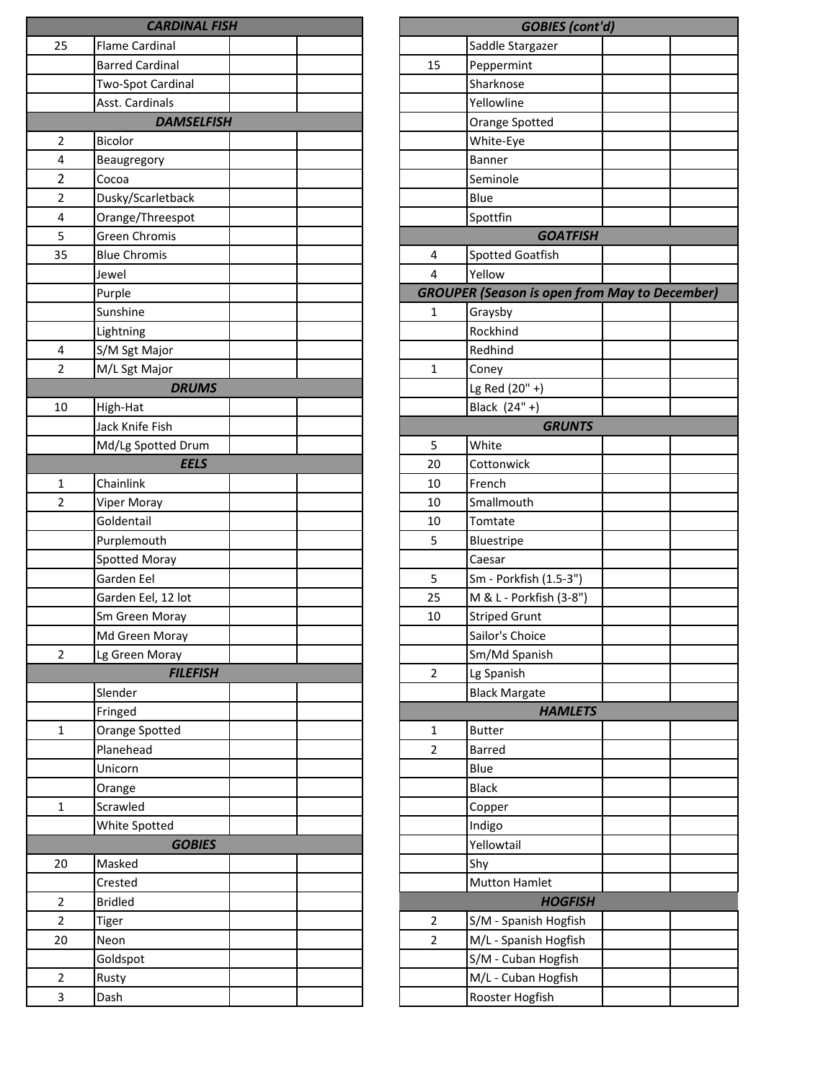|                | <b>CARDINAL FISH</b>   |  |                | <b>GOBIES</b> (cont                 |
|----------------|------------------------|--|----------------|-------------------------------------|
| 25             | <b>Flame Cardinal</b>  |  |                | Saddle Stargazer                    |
|                | <b>Barred Cardinal</b> |  | 15             | Peppermint                          |
|                | Two-Spot Cardinal      |  |                | Sharknose                           |
|                | Asst. Cardinals        |  |                | Yellowline                          |
|                | <b>DAMSELFISH</b>      |  |                | Orange Spotted                      |
| $\overline{2}$ | <b>Bicolor</b>         |  |                | White-Eye                           |
| 4              | Beaugregory            |  |                | Banner                              |
| 2              | Cocoa                  |  |                | Seminole                            |
| 2              | Dusky/Scarletback      |  |                | Blue                                |
| 4              | Orange/Threespot       |  |                | Spottfin                            |
| 5              | <b>Green Chromis</b>   |  |                | <b>GOATFISH</b>                     |
| 35             | <b>Blue Chromis</b>    |  | 4              | Spotted Goatfish                    |
|                | Jewel                  |  | 4              | Yellow                              |
|                | Purple                 |  |                | <b>GROUPER (Season is open fron</b> |
|                | Sunshine               |  | 1              | Graysby                             |
|                | Lightning              |  |                | Rockhind                            |
| 4              | S/M Sgt Major          |  |                | Redhind                             |
| $\overline{2}$ | M/L Sgt Major          |  | $\mathbf 1$    | Coney                               |
|                | <b>DRUMS</b>           |  |                | Lg Red (20" +)                      |
| 10             | High-Hat               |  |                | Black (24" +)                       |
|                | Jack Knife Fish        |  |                | <b>GRUNTS</b>                       |
|                | Md/Lg Spotted Drum     |  | 5              | White                               |
|                | <b>EELS</b>            |  | 20             | Cottonwick                          |
| 1              | Chainlink              |  | 10             | French                              |
| $\overline{2}$ | Viper Moray            |  | 10             | Smallmouth                          |
|                | Goldentail             |  | 10             | Tomtate                             |
|                | Purplemouth            |  | 5              | Bluestripe                          |
|                | Spotted Moray          |  |                | Caesar                              |
|                | Garden Eel             |  | 5              | Sm - Porkfish (1.5-3")              |
|                | Garden Eel, 12 lot     |  | 25             | M & L - Porkfish (3-8")             |
|                | Sm Green Moray         |  | 10             | <b>Striped Grunt</b>                |
|                | Md Green Moray         |  |                | Sailor's Choice                     |
| $\overline{2}$ | Lg Green Moray         |  |                | Sm/Md Spanish                       |
|                | <b>FILEFISH</b>        |  | $\overline{2}$ | Lg Spanish                          |
|                | Slender                |  |                | <b>Black Margate</b>                |
|                | Fringed                |  |                | <b>HAMLETS</b>                      |
| $\mathbf{1}$   | Orange Spotted         |  | $\mathbf{1}$   | <b>Butter</b>                       |
|                | Planehead              |  | $\overline{2}$ | <b>Barred</b>                       |
|                | Unicorn                |  |                | Blue                                |
|                | Orange                 |  |                | <b>Black</b>                        |
| $\mathbf{1}$   | Scrawled               |  |                | Copper                              |
|                | White Spotted          |  |                | Indigo                              |
|                | <b>GOBIES</b>          |  |                | Yellowtail                          |
| 20             | Masked                 |  |                | Shy                                 |
|                | Crested                |  |                | <b>Mutton Hamlet</b>                |
| $\overline{2}$ | <b>Bridled</b>         |  |                | <b>HOGFISH</b>                      |
| $\overline{2}$ | Tiger                  |  | 2              | S/M - Spanish Hogfish               |
| 20             | Neon                   |  | $\overline{2}$ | M/L - Spanish Hogfish               |
|                | Goldspot               |  |                | S/M - Cuban Hogfish                 |
| $\overline{2}$ | Rusty                  |  |                | M/L - Cuban Hogfish                 |
| 3              | Dash                   |  |                | Rooster Hogfish                     |

| <b>GOBIES</b> (cont'd) |                                                      |  |  |  |  |
|------------------------|------------------------------------------------------|--|--|--|--|
|                        | Saddle Stargazer                                     |  |  |  |  |
| 15                     | Peppermint                                           |  |  |  |  |
|                        | Sharknose                                            |  |  |  |  |
|                        | Yellowline                                           |  |  |  |  |
|                        | Orange Spotted                                       |  |  |  |  |
|                        | White-Eye                                            |  |  |  |  |
|                        | <b>Banner</b>                                        |  |  |  |  |
|                        | Seminole                                             |  |  |  |  |
|                        | Blue                                                 |  |  |  |  |
|                        | Spottfin                                             |  |  |  |  |
|                        | <b>GOATFISH</b>                                      |  |  |  |  |
| 4                      | <b>Spotted Goatfish</b>                              |  |  |  |  |
| 4                      | Yellow                                               |  |  |  |  |
|                        | <b>GROUPER (Season is open from May to December)</b> |  |  |  |  |
| 1                      | Graysby                                              |  |  |  |  |
|                        | Rockhind                                             |  |  |  |  |
|                        | Redhind                                              |  |  |  |  |
| $\mathbf{1}$           | Coney                                                |  |  |  |  |
|                        | Lg Red (20" +)                                       |  |  |  |  |
|                        | Black (24" +)                                        |  |  |  |  |
|                        | <b>GRUNTS</b>                                        |  |  |  |  |
| 5                      | White                                                |  |  |  |  |
| 20                     | Cottonwick                                           |  |  |  |  |
| 10                     | French                                               |  |  |  |  |
| 10                     | Smallmouth                                           |  |  |  |  |
| 10                     | Tomtate                                              |  |  |  |  |
| 5                      | Bluestripe                                           |  |  |  |  |
| 5                      | Caesar<br>Sm - Porkfish (1.5-3")                     |  |  |  |  |
| 25                     | M & L - Porkfish (3-8")                              |  |  |  |  |
| 10                     | <b>Striped Grunt</b>                                 |  |  |  |  |
|                        | Sailor's Choice                                      |  |  |  |  |
|                        | Sm/Md Spanish                                        |  |  |  |  |
| $\overline{2}$         | Lg Spanish                                           |  |  |  |  |
|                        | <b>Black Margate</b>                                 |  |  |  |  |
|                        | <b>HAMLETS</b>                                       |  |  |  |  |
| 1                      | <b>Butter</b>                                        |  |  |  |  |
| $\overline{2}$         | <b>Barred</b>                                        |  |  |  |  |
|                        | Blue                                                 |  |  |  |  |
|                        | <b>Black</b>                                         |  |  |  |  |
|                        | Copper                                               |  |  |  |  |
|                        | Indigo                                               |  |  |  |  |
|                        | Yellowtail                                           |  |  |  |  |
|                        | Shy                                                  |  |  |  |  |
|                        | <b>Mutton Hamlet</b>                                 |  |  |  |  |
|                        | <b>HOGFISH</b>                                       |  |  |  |  |
| 2                      | S/M - Spanish Hogfish                                |  |  |  |  |
| 2                      | M/L - Spanish Hogfish                                |  |  |  |  |
|                        | S/M - Cuban Hogfish                                  |  |  |  |  |
|                        | M/L - Cuban Hogfish                                  |  |  |  |  |
|                        | Rooster Hogfish                                      |  |  |  |  |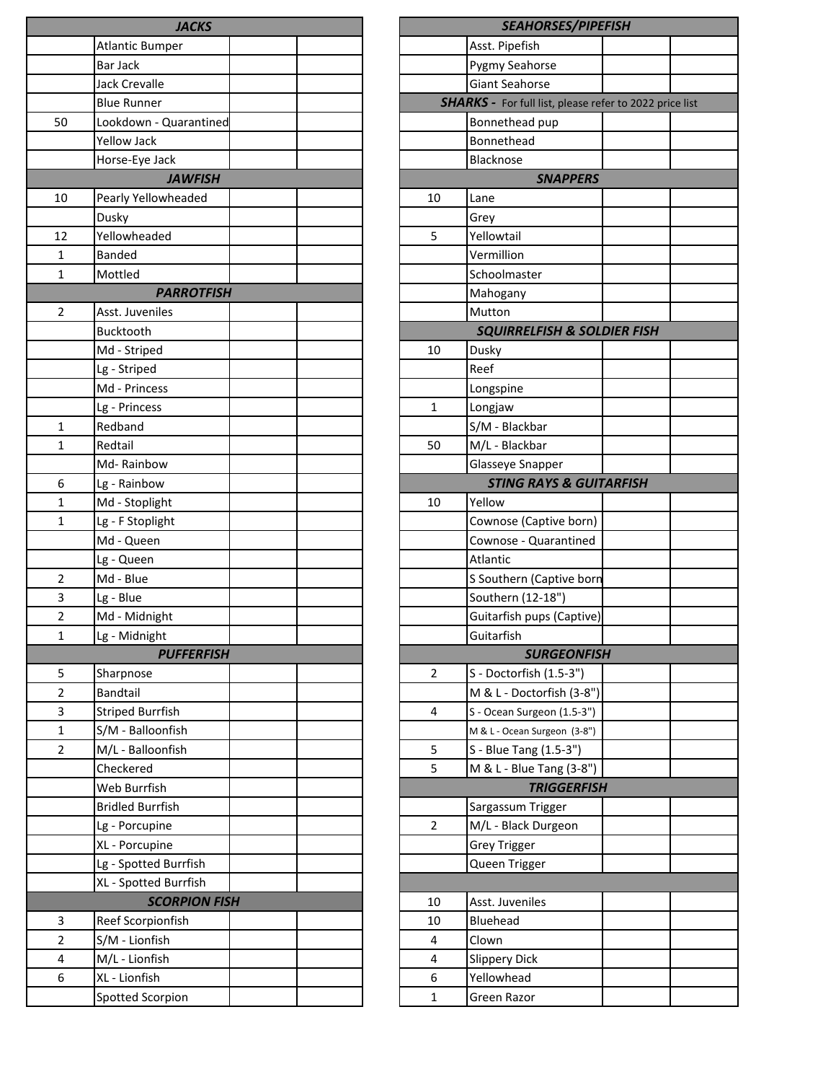|                | <b>JACKS</b>            |                | <b>SEAHORS</b>                          |
|----------------|-------------------------|----------------|-----------------------------------------|
|                | <b>Atlantic Bumper</b>  |                | Asst. Pipefish                          |
|                | Bar Jack                |                | Pygmy Seahorse                          |
|                | Jack Crevalle           |                | Giant Seahorse                          |
|                | <b>Blue Runner</b>      |                | <b>SHARKS - For full list,</b>          |
| 50             | Lookdown - Quarantined  |                | Bonnethead pup                          |
|                | Yellow Jack             |                | Bonnethead                              |
|                | Horse-Eye Jack          |                | Blacknose                               |
|                | <b>JAWFISH</b>          |                | <b>SNA</b>                              |
| 10             | Pearly Yellowheaded     | 10             | Lane                                    |
|                | Dusky                   |                | Grey                                    |
| 12             | Yellowheaded            | 5              | Yellowtail                              |
| 1              | <b>Banded</b>           |                | Vermillion                              |
| 1              | Mottled                 |                | Schoolmaster                            |
|                | <b>PARROTFISH</b>       |                | Mahogany                                |
| $\overline{2}$ | Asst. Juveniles         |                | Mutton                                  |
|                | Bucktooth               |                | <b>SQUIRRELFISH</b>                     |
|                | Md - Striped            | 10             | Dusky                                   |
|                | Lg - Striped            |                | Reef                                    |
|                | Md - Princess           |                | Longspine                               |
|                | Lg - Princess           | $\mathbf{1}$   | Longjaw                                 |
| $\mathbf{1}$   | Redband                 |                | S/M - Blackbar                          |
| $\mathbf{1}$   | Redtail                 | 50             | M/L - Blackbar                          |
|                | Md-Rainbow              |                | Glasseye Snappe                         |
| 6              | Lg - Rainbow            |                | <b>STING RAYS</b>                       |
| 1              | Md - Stoplight          | 10             | Yellow                                  |
| $\mathbf{1}$   | Lg - F Stoplight        |                | Cownose (Captiv                         |
|                | Md - Queen              |                | Cownose - Quara                         |
|                | Lg - Queen              |                | Atlantic                                |
| $\overline{2}$ | Md - Blue               |                | S Southern (Capt                        |
| 3              | Lg - Blue               |                | Southern (12-18'                        |
| $\overline{2}$ | Md - Midnight           |                | Guitarfish pups (                       |
| 1              | Lg - Midnight           |                | Guitarfish                              |
|                | <b>PUFFERFISH</b>       |                | <b>SURG</b>                             |
| 5              | Sharpnose               | $\overline{2}$ | S - Doctorfish (1.                      |
| 2              | Bandtail                |                | M & L - Doctorfis                       |
| 3              | <b>Striped Burrfish</b> | 4              | S - Ocean Surgeon                       |
| $\mathbf{1}$   | S/M - Balloonfish       |                |                                         |
| $\overline{2}$ | M/L - Balloonfish       | 5              | M & L - Ocean Surgeo                    |
|                | Checkered               | 5              | S - Blue Tang (1.5<br>M & L - Blue Tang |
|                | Web Burrfish            |                | <b>TRIG</b>                             |
|                | <b>Bridled Burrfish</b> |                | Sargassum Trigge                        |
|                |                         | $\overline{2}$ | M/L - Black Durg                        |
|                | Lg - Porcupine          |                |                                         |
|                | XL - Porcupine          |                | <b>Grey Trigger</b>                     |
|                | Lg - Spotted Burrfish   |                | Queen Trigger                           |
|                | XL - Spotted Burrfish   |                |                                         |
|                | <b>SCORPION FISH</b>    | 10             | Asst. Juveniles                         |
| 3              | Reef Scorpionfish       | 10             | Bluehead                                |
| $\overline{2}$ | S/M - Lionfish          | 4              | Clown                                   |
| 4              | M/L - Lionfish          | 4              | <b>Slippery Dick</b>                    |
| 6              | XL - Lionfish           | 6              | Yellowhead                              |
|                | Spotted Scorpion        | $\mathbf{1}$   | Green Razor                             |

|    | <b>SEAHORSES/PIPEFISH</b>                                      |  |
|----|----------------------------------------------------------------|--|
|    | Asst. Pipefish                                                 |  |
|    | <b>Pygmy Seahorse</b>                                          |  |
|    | <b>Giant Seahorse</b>                                          |  |
|    | <b>SHARKS</b> - For full list, please refer to 2022 price list |  |
|    | Bonnethead pup                                                 |  |
|    | Bonnethead                                                     |  |
|    | <b>Blacknose</b>                                               |  |
|    | <b>SNAPPERS</b>                                                |  |
| 10 | Lane                                                           |  |
|    | Grey                                                           |  |
| 5  | Yellowtail                                                     |  |
|    | Vermillion                                                     |  |
|    |                                                                |  |
|    | Schoolmaster                                                   |  |
|    | Mahogany                                                       |  |
|    | Mutton                                                         |  |
|    | <b>SQUIRRELFISH &amp; SOLDIER FISH</b>                         |  |
| 10 | Dusky                                                          |  |
|    | Reef                                                           |  |
|    | Longspine                                                      |  |
| 1  | Longjaw                                                        |  |
|    | S/M - Blackbar                                                 |  |
| 50 | M/L - Blackbar                                                 |  |
|    | Glasseye Snapper                                               |  |
|    | <b>STING RAYS &amp; GUITARFISH</b>                             |  |
| 10 | Yellow                                                         |  |
|    | Cownose (Captive born)                                         |  |
|    | Cownose - Quarantined                                          |  |
|    | Atlantic                                                       |  |
|    | S Southern (Captive born                                       |  |
|    | Southern (12-18")                                              |  |
|    | Guitarfish pups (Captive)                                      |  |
|    | Guitarfish                                                     |  |
|    | <b>SURGEONFISH</b>                                             |  |
| 2  | S - Doctorfish (1.5-3")                                        |  |
|    |                                                                |  |
|    | M & L - Doctorfish (3-8")                                      |  |
| 4  | S - Ocean Surgeon (1.5-3")                                     |  |
|    | M & L - Ocean Surgeon (3-8")                                   |  |
| 5  | S - Blue Tang (1.5-3")                                         |  |
| 5  | M & L - Blue Tang (3-8")                                       |  |
|    | <b>TRIGGERFISH</b>                                             |  |
|    | Sargassum Trigger                                              |  |
| 2  | M/L - Black Durgeon                                            |  |
|    | <b>Grey Trigger</b>                                            |  |
|    | Queen Trigger                                                  |  |
|    |                                                                |  |
| 10 | Asst. Juveniles                                                |  |
| 10 | <b>Bluehead</b>                                                |  |
| 4  | Clown                                                          |  |
| 4  | <b>Slippery Dick</b>                                           |  |
| 6  | Yellowhead                                                     |  |
| 1  | Green Razor                                                    |  |
|    |                                                                |  |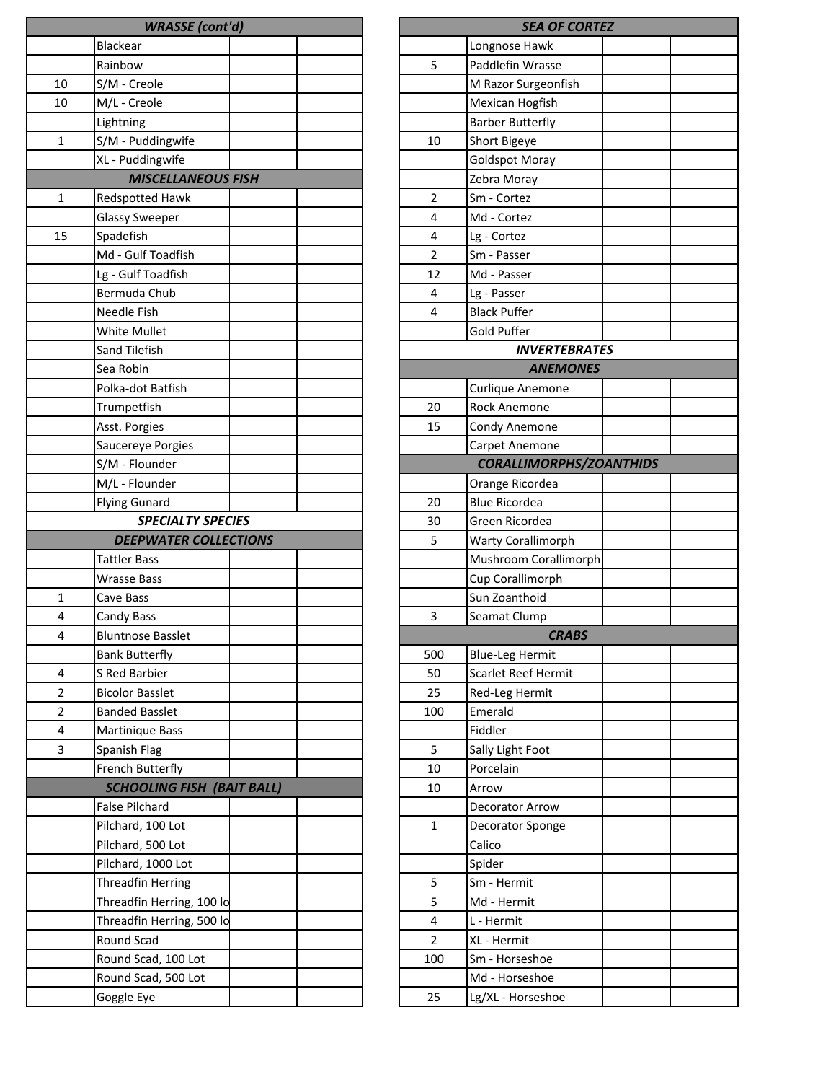|              | <b>WRASSE</b> (cont'd)            |  |                | <b>SEA OF CO</b>        |
|--------------|-----------------------------------|--|----------------|-------------------------|
|              | <b>Blackear</b>                   |  |                | Longnose Hawk           |
|              | Rainbow                           |  | 5              | Paddlefin Wrasse        |
| 10           | S/M - Creole                      |  |                | M Razor Surgeonfish     |
| 10           | M/L - Creole                      |  |                | Mexican Hogfish         |
|              | Lightning                         |  |                | <b>Barber Butterfly</b> |
| $\mathbf{1}$ | S/M - Puddingwife                 |  | 10             | Short Bigeye            |
|              | XL - Puddingwife                  |  |                | <b>Goldspot Moray</b>   |
|              | <b>MISCELLANEOUS FISH</b>         |  |                | Zebra Moray             |
| 1            | Redspotted Hawk                   |  | 2              | Sm - Cortez             |
|              | <b>Glassy Sweeper</b>             |  | 4              | Md - Cortez             |
| 15           | Spadefish                         |  | 4              | Lg - Cortez             |
|              | Md - Gulf Toadfish                |  | $\overline{2}$ | Sm - Passer             |
|              | Lg - Gulf Toadfish                |  | 12             | Md - Passer             |
|              | Bermuda Chub                      |  | 4              | Lg - Passer             |
|              | Needle Fish                       |  | $\overline{4}$ | <b>Black Puffer</b>     |
|              | White Mullet                      |  |                | Gold Puffer             |
|              | Sand Tilefish                     |  |                | <b>INVERTEBI</b>        |
|              | Sea Robin                         |  |                | <b>ANEMOI</b>           |
|              | Polka-dot Batfish                 |  |                | Curlique Anemone        |
|              | Trumpetfish                       |  | 20             | <b>Rock Anemone</b>     |
|              | Asst. Porgies                     |  | 15             | Condy Anemone           |
|              | Saucereye Porgies                 |  |                | Carpet Anemone          |
|              | S/M - Flounder                    |  |                | <b>CORALLIMORPHS</b>    |
|              | M/L - Flounder                    |  |                | Orange Ricordea         |
|              | <b>Flying Gunard</b>              |  | 20             | <b>Blue Ricordea</b>    |
|              | <b>SPECIALTY SPECIES</b>          |  | 30             | Green Ricordea          |
|              | <b>DEEPWATER COLLECTIONS</b>      |  | 5              | Warty Corallimorph      |
|              | <b>Tattler Bass</b>               |  |                | Mushroom Corallimo      |
|              | <b>Wrasse Bass</b>                |  |                | Cup Corallimorph        |
| 1            | Cave Bass                         |  |                | Sun Zoanthoid           |
| 4            | Candy Bass                        |  | 3              | Seamat Clump            |
| 4            | <b>Bluntnose Basslet</b>          |  |                | <i><b>CRAB</b></i>      |
|              | <b>Bank Butterfly</b>             |  | 500            | <b>Blue-Leg Hermit</b>  |
| 4            | S Red Barbier                     |  | 50             | Scarlet Reef Hermit     |
| 2            | <b>Bicolor Basslet</b>            |  | 25             | Red-Leg Hermit          |
| 2            | <b>Banded Basslet</b>             |  | 100            | Emerald                 |
| 4            | Martinique Bass                   |  |                | Fiddler                 |
| 3            | Spanish Flag                      |  | 5              | Sally Light Foot        |
|              | French Butterfly                  |  | 10             | Porcelain               |
|              | <b>SCHOOLING FISH (BAIT BALL)</b> |  | 10             | Arrow                   |
|              | <b>False Pilchard</b>             |  |                | Decorator Arrow         |
|              | Pilchard, 100 Lot                 |  | $\mathbf 1$    | Decorator Sponge        |
|              | Pilchard, 500 Lot                 |  |                | Calico                  |
|              | Pilchard, 1000 Lot                |  |                | Spider                  |
|              | <b>Threadfin Herring</b>          |  | 5              | Sm - Hermit             |
|              | Threadfin Herring, 100 lo         |  | 5              | Md - Hermit             |
|              | Threadfin Herring, 500 lo         |  | 4              | L - Hermit              |
|              | Round Scad                        |  | 2              | XL - Hermit             |
|              | Round Scad, 100 Lot               |  | 100            | Sm - Horseshoe          |
|              | Round Scad, 500 Lot               |  |                | Md - Horseshoe          |
|              | Goggle Eye                        |  | 25             | Lg/XL - Horseshoe       |
|              |                                   |  |                |                         |

| <b>SEA OF CORTEZ</b> |                                |  |  |  |  |
|----------------------|--------------------------------|--|--|--|--|
|                      | Longnose Hawk                  |  |  |  |  |
| 5                    | Paddlefin Wrasse               |  |  |  |  |
|                      | M Razor Surgeonfish            |  |  |  |  |
|                      | Mexican Hogfish                |  |  |  |  |
|                      | <b>Barber Butterfly</b>        |  |  |  |  |
| 10                   | Short Bigeye                   |  |  |  |  |
|                      | <b>Goldspot Moray</b>          |  |  |  |  |
|                      | Zebra Moray                    |  |  |  |  |
| 2                    | Sm - Cortez                    |  |  |  |  |
| 4                    | Md - Cortez                    |  |  |  |  |
| 4                    | Lg - Cortez                    |  |  |  |  |
| 2                    | Sm - Passer                    |  |  |  |  |
| 12                   | Md - Passer                    |  |  |  |  |
| 4                    | Lg - Passer                    |  |  |  |  |
| 4                    | <b>Black Puffer</b>            |  |  |  |  |
|                      | Gold Puffer                    |  |  |  |  |
|                      | <b>INVERTEBRATES</b>           |  |  |  |  |
|                      | <b>ANEMONES</b>                |  |  |  |  |
|                      | Curlique Anemone               |  |  |  |  |
| 20                   | Rock Anemone                   |  |  |  |  |
| 15                   | Condy Anemone                  |  |  |  |  |
|                      | Carpet Anemone                 |  |  |  |  |
|                      | <b>CORALLIMORPHS/ZOANTHIDS</b> |  |  |  |  |
|                      | Orange Ricordea                |  |  |  |  |
| 20                   | <b>Blue Ricordea</b>           |  |  |  |  |
| 30                   | Green Ricordea                 |  |  |  |  |
| 5                    | <b>Warty Corallimorph</b>      |  |  |  |  |
|                      | Mushroom Corallimorph          |  |  |  |  |
|                      | Cup Corallimorph               |  |  |  |  |
|                      | Sun Zoanthoid                  |  |  |  |  |
| 3                    | Seamat Clump                   |  |  |  |  |
|                      | <b>CRABS</b>                   |  |  |  |  |
| 500                  | <b>Blue-Leg Hermit</b>         |  |  |  |  |
| 50                   | Scarlet Reef Hermit            |  |  |  |  |
| 25                   | Red-Leg Hermit                 |  |  |  |  |
| 100                  | Emerald                        |  |  |  |  |
|                      | Fiddler                        |  |  |  |  |
| 5                    | Sally Light Foot               |  |  |  |  |
| 10                   | Porcelain                      |  |  |  |  |
| 10                   | Arrow                          |  |  |  |  |
|                      | Decorator Arrow                |  |  |  |  |
| 1                    | Decorator Sponge               |  |  |  |  |
|                      | Calico                         |  |  |  |  |
|                      | Spider                         |  |  |  |  |
| 5                    | Sm - Hermit                    |  |  |  |  |
| 5                    | Md - Hermit                    |  |  |  |  |
| 4                    | L - Hermit                     |  |  |  |  |
| 2                    | XL - Hermit                    |  |  |  |  |
| 100                  | Sm - Horseshoe                 |  |  |  |  |
|                      | Md - Horseshoe                 |  |  |  |  |
| 25                   | Lg/XL - Horseshoe              |  |  |  |  |
|                      |                                |  |  |  |  |